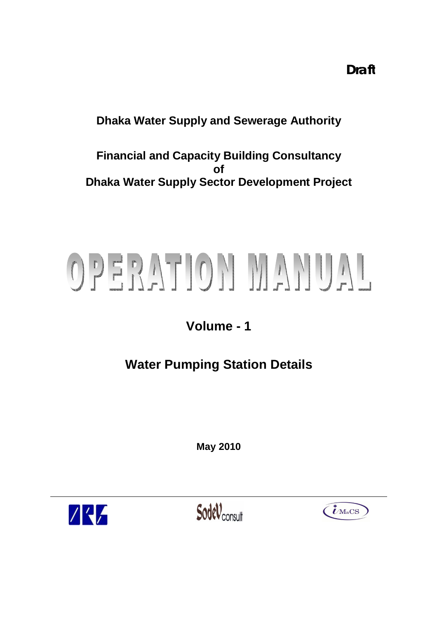**Draft**

## **Dhaka Water Supply and Sewerage Authority**

**Financial and Capacity Building Consultancy of Dhaka Water Supply Sector Development Project**

# OPERATION MANUAL

## **Volume - 1**

# **Water Pumping Station Details**

**May 2010**



SodeV<sub>consult</sub>

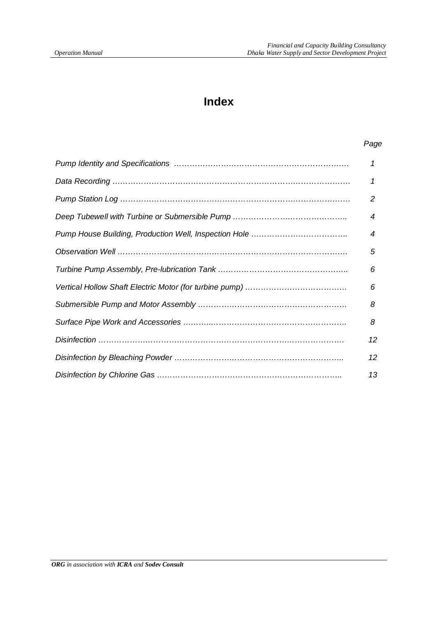## **Index**

#### *Page*

| 1  |
|----|
| 1  |
| 2  |
| 4  |
| 4  |
| 5  |
| 6  |
| 6  |
| 8  |
| 8  |
| 12 |
| 12 |
| 13 |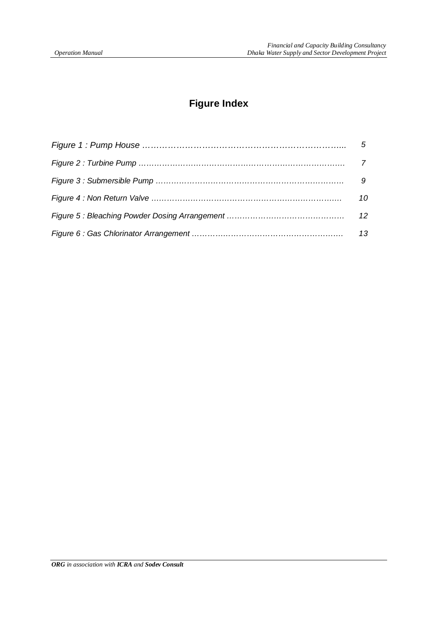## **Figure Index**

| 5  |
|----|
|    |
|    |
| 10 |
| 12 |
| 13 |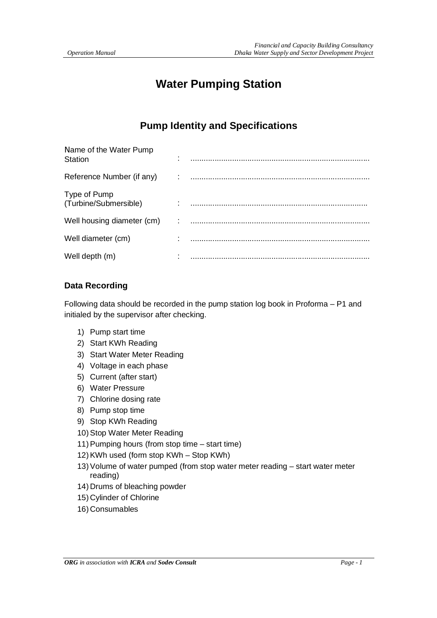## **Water Pumping Station**

## **Pump Identity and Specifications**

| Name of the Water Pump<br>Station     |   |  |
|---------------------------------------|---|--|
| Reference Number (if any)             | ٠ |  |
| Type of Pump<br>(Turbine/Submersible) |   |  |
| Well housing diameter (cm)            |   |  |
| Well diameter (cm)                    |   |  |
| Well depth (m)                        |   |  |

#### **Data Recording**

Following data should be recorded in the pump station log book in Proforma – P1 and initialed by the supervisor after checking.

- 1) Pump start time
- 2) Start KWh Reading
- 3) Start Water Meter Reading
- 4) Voltage in each phase
- 5) Current (after start)
- 6) Water Pressure
- 7) Chlorine dosing rate
- 8) Pump stop time
- 9) Stop KWh Reading
- 10) Stop Water Meter Reading
- 11)Pumping hours (from stop time start time)
- 12)KWh used (form stop KWh Stop KWh)
- 13)Volume of water pumped (from stop water meter reading start water meter reading)
- 14) Drums of bleaching powder
- 15) Cylinder of Chlorine
- 16) Consumables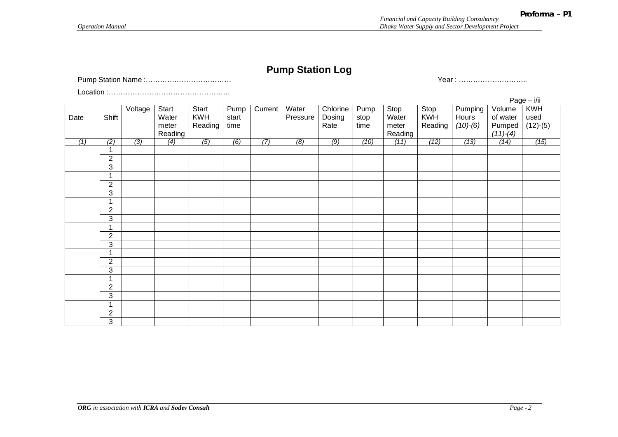## **Pump Station Log**

Pump Station Name :……………………………… Year : ………………………..

Location :……………………………………………

|                  |                         |                 |         |                  |       |                  |          |                  |      |         |            |            |            | $Page - i/ii$ |
|------------------|-------------------------|-----------------|---------|------------------|-------|------------------|----------|------------------|------|---------|------------|------------|------------|---------------|
|                  |                         | Voltage         | Start   | Start            | Pump  | Current          | Water    | Chlorine         | Pump | Stop    | Stop       | Pumping    | Volume     | KWH           |
| Date             | Shift                   |                 | Water   | <b>KWH</b>       | start |                  | Pressure | Dosing           | stop | Water   | <b>KWH</b> | Hours      | of water   | used          |
|                  |                         |                 | meter   | Reading          | time  |                  |          | Rate             | time | meter   | Reading    | $(10)-(6)$ | Pumped     | $(12)-(5)$    |
|                  |                         |                 | Reading |                  |       |                  |          |                  |      | Reading |            |            | $(11)-(4)$ |               |
| $\overline{(1)}$ | $\overline{(2)}$        | $\overline{3)}$ | (4)     | $\overline{(5)}$ | (6)   | $\overline{(7)}$ | (8)      | $\overline{(9)}$ | (10) | (11)    | (12)       | (13)       | (14)       | (15)          |
|                  | $\mathbf 1$             |                 |         |                  |       |                  |          |                  |      |         |            |            |            |               |
|                  | $\overline{c}$          |                 |         |                  |       |                  |          |                  |      |         |            |            |            |               |
|                  | 3                       |                 |         |                  |       |                  |          |                  |      |         |            |            |            |               |
|                  | $\overline{ }$          |                 |         |                  |       |                  |          |                  |      |         |            |            |            |               |
|                  | $\overline{2}$          |                 |         |                  |       |                  |          |                  |      |         |            |            |            |               |
|                  | 3                       |                 |         |                  |       |                  |          |                  |      |         |            |            |            |               |
|                  | 1                       |                 |         |                  |       |                  |          |                  |      |         |            |            |            |               |
|                  | $\overline{2}$          |                 |         |                  |       |                  |          |                  |      |         |            |            |            |               |
|                  | $\overline{3}$          |                 |         |                  |       |                  |          |                  |      |         |            |            |            |               |
|                  | $\blacktriangleleft$    |                 |         |                  |       |                  |          |                  |      |         |            |            |            |               |
|                  | $\overline{c}$          |                 |         |                  |       |                  |          |                  |      |         |            |            |            |               |
|                  | 3                       |                 |         |                  |       |                  |          |                  |      |         |            |            |            |               |
|                  | $\overline{A}$          |                 |         |                  |       |                  |          |                  |      |         |            |            |            |               |
|                  | $\overline{2}$          |                 |         |                  |       |                  |          |                  |      |         |            |            |            |               |
|                  | 3                       |                 |         |                  |       |                  |          |                  |      |         |            |            |            |               |
|                  | 1                       |                 |         |                  |       |                  |          |                  |      |         |            |            |            |               |
|                  | $\overline{2}$          |                 |         |                  |       |                  |          |                  |      |         |            |            |            |               |
|                  | 3                       |                 |         |                  |       |                  |          |                  |      |         |            |            |            |               |
|                  | $\overline{\mathbf{A}}$ |                 |         |                  |       |                  |          |                  |      |         |            |            |            |               |
|                  | $\mathbf{2}$            |                 |         |                  |       |                  |          |                  |      |         |            |            |            |               |
|                  |                         |                 |         |                  |       |                  |          |                  |      |         |            |            |            |               |
|                  | 3                       |                 |         |                  |       |                  |          |                  |      |         |            |            |            |               |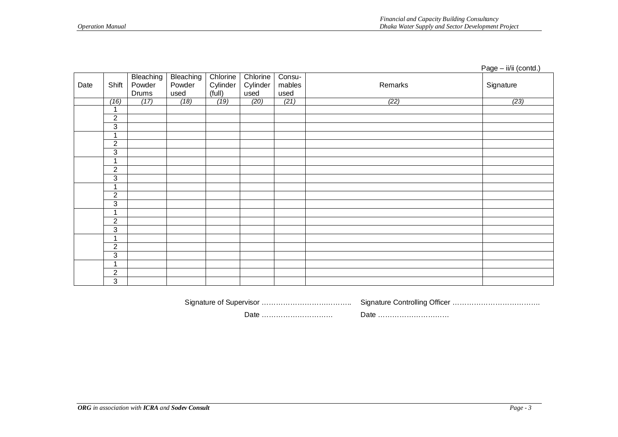|      |                     |           |           |          |          |        |         | Page - ii/ii (contd.) |
|------|---------------------|-----------|-----------|----------|----------|--------|---------|-----------------------|
| Date |                     | Bleaching | Bleaching | Chlorine | Chlorine | Consu- |         |                       |
|      | Shift               | Powder    | Powder    | Cylinder | Cylinder | mables | Remarks | Signature             |
|      |                     | Drums     | used      | (iull)   | used     | used   |         |                       |
|      | (16)                | (17)      | (18)      | (19)     | (20)     | (21)   | (22)    | (23)                  |
|      | 1                   |           |           |          |          |        |         |                       |
|      | $\overline{2}$      |           |           |          |          |        |         |                       |
|      | $\overline{3}$      |           |           |          |          |        |         |                       |
|      | 1                   |           |           |          |          |        |         |                       |
|      | $\overline{2}$      |           |           |          |          |        |         |                       |
|      | 3                   |           |           |          |          |        |         |                       |
|      | 1                   |           |           |          |          |        |         |                       |
|      | $\sqrt{2}$          |           |           |          |          |        |         |                       |
|      | $\overline{\omega}$ |           |           |          |          |        |         |                       |
|      | 1                   |           |           |          |          |        |         |                       |
|      | $\overline{2}$      |           |           |          |          |        |         |                       |
|      | 3                   |           |           |          |          |        |         |                       |
|      | $\mathbf{1}$        |           |           |          |          |        |         |                       |
|      | $\sqrt{2}$          |           |           |          |          |        |         |                       |
|      | $\overline{3}$      |           |           |          |          |        |         |                       |
|      | 1                   |           |           |          |          |        |         |                       |
|      | $\overline{2}$      |           |           |          |          |        |         |                       |
|      | $\overline{3}$      |           |           |          |          |        |         |                       |
|      | 1                   |           |           |          |          |        |         |                       |
|      | $\overline{2}$      |           |           |          |          |        |         |                       |
|      | 3                   |           |           |          |          |        |         |                       |

 Signature of Supervisor ……………………………….. Signature Controlling Officer ………………………………. Date ………………………… Date …………………………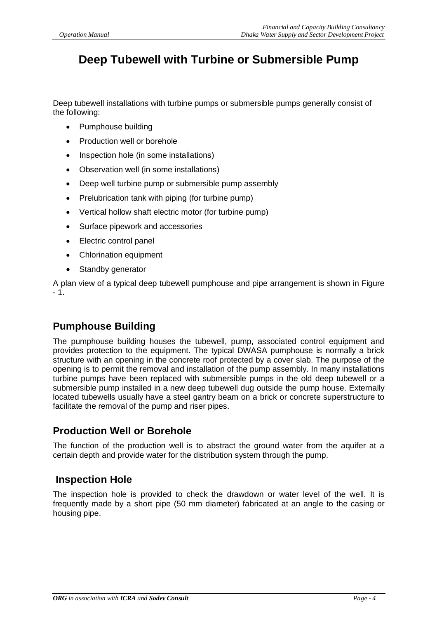## **Deep Tubewell with Turbine or Submersible Pump**

Deep tubewell installations with turbine pumps or submersible pumps generally consist of the following:

- Pumphouse building
- Production well or borehole
- Inspection hole (in some installations)
- Observation well (in some installations)
- Deep well turbine pump or submersible pump assembly
- Prelubrication tank with piping (for turbine pump)
- Vertical hollow shaft electric motor (for turbine pump)
- Surface pipework and accessories
- Electric control panel
- Chlorination equipment
- Standby generator

A plan view of a typical deep tubewell pumphouse and pipe arrangement is shown in Figure - 1.

## **Pumphouse Building**

The pumphouse building houses the tubewell, pump, associated control equipment and provides protection to the equipment. The typical DWASA pumphouse is normally a brick structure with an opening in the concrete roof protected by a cover slab. The purpose of the opening is to permit the removal and installation of the pump assembly. In many installations turbine pumps have been replaced with submersible pumps in the old deep tubewell or a submersible pump installed in a new deep tubewell dug outside the pump house. Externally located tubewells usually have a steel gantry beam on a brick or concrete superstructure to facilitate the removal of the pump and riser pipes.

### **Production Well or Borehole**

The function of the production well is to abstract the ground water from the aquifer at a certain depth and provide water for the distribution system through the pump.

### **Inspection Hole**

The inspection hole is provided to check the drawdown or water level of the well. It is frequently made by a short pipe (50 mm diameter) fabricated at an angle to the casing or housing pipe.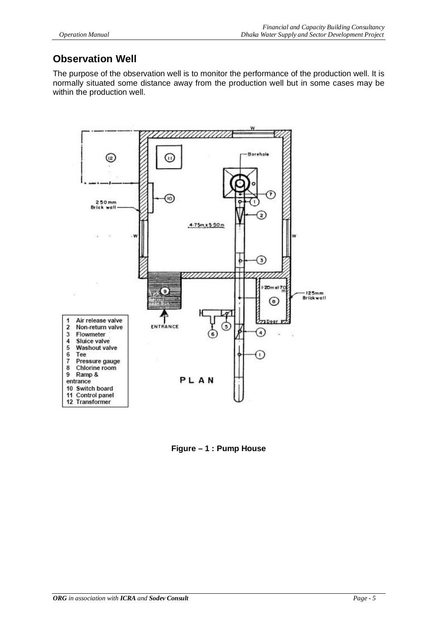## **Observation Well**

The purpose of the observation well is to monitor the performance of the production well. It is normally situated some distance away from the production well but in some cases may be within the production well.



**Figure – 1 : Pump House**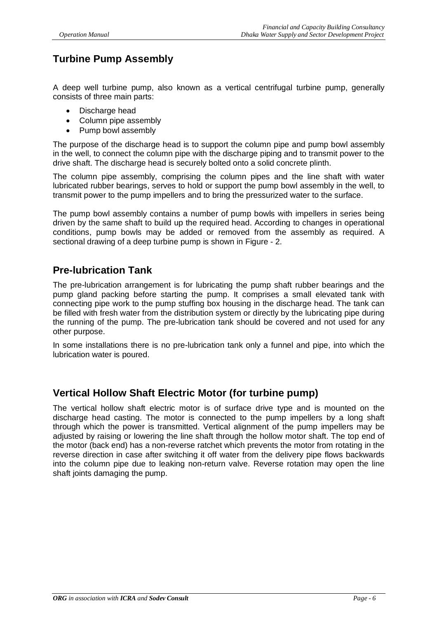## **Turbine Pump Assembly**

A deep well turbine pump, also known as a vertical centrifugal turbine pump, generally consists of three main parts:

- Discharge head
- Column pipe assembly
- Pump bowl assembly

The purpose of the discharge head is to support the column pipe and pump bowl assembly in the well, to connect the column pipe with the discharge piping and to transmit power to the drive shaft. The discharge head is securely bolted onto a solid concrete plinth.

The column pipe assembly, comprising the column pipes and the line shaft with water lubricated rubber bearings, serves to hold or support the pump bowl assembly in the well, to transmit power to the pump impellers and to bring the pressurized water to the surface.

The pump bowl assembly contains a number of pump bowls with impellers in series being driven by the same shaft to build up the required head. According to changes in operational conditions, pump bowls may be added or removed from the assembly as required. A sectional drawing of a deep turbine pump is shown in Figure - 2.

## **Pre-lubrication Tank**

The pre-lubrication arrangement is for lubricating the pump shaft rubber bearings and the pump gland packing before starting the pump. It comprises a small elevated tank with connecting pipe work to the pump stuffing box housing in the discharge head. The tank can be filled with fresh water from the distribution system or directly by the lubricating pipe during the running of the pump. The pre-lubrication tank should be covered and not used for any other purpose.

In some installations there is no pre-lubrication tank only a funnel and pipe, into which the lubrication water is poured.

### **Vertical Hollow Shaft Electric Motor (for turbine pump)**

The vertical hollow shaft electric motor is of surface drive type and is mounted on the discharge head casting. The motor is connected to the pump impellers by a long shaft through which the power is transmitted. Vertical alignment of the pump impellers may be adjusted by raising or lowering the line shaft through the hollow motor shaft. The top end of the motor (back end) has a non-reverse ratchet which prevents the motor from rotating in the reverse direction in case after switching it off water from the delivery pipe flows backwards into the column pipe due to leaking non-return valve. Reverse rotation may open the line shaft joints damaging the pump.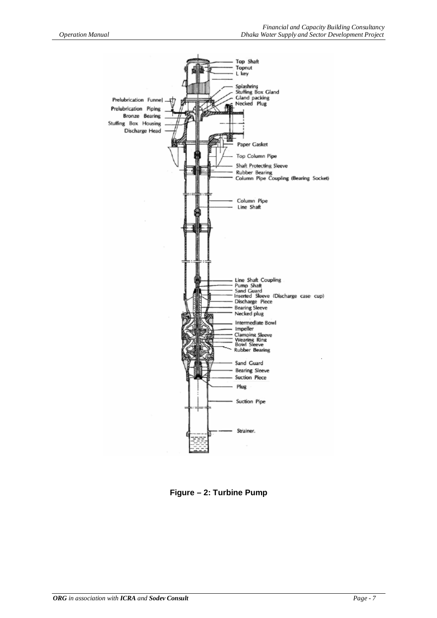

**Figure – 2: Turbine Pump**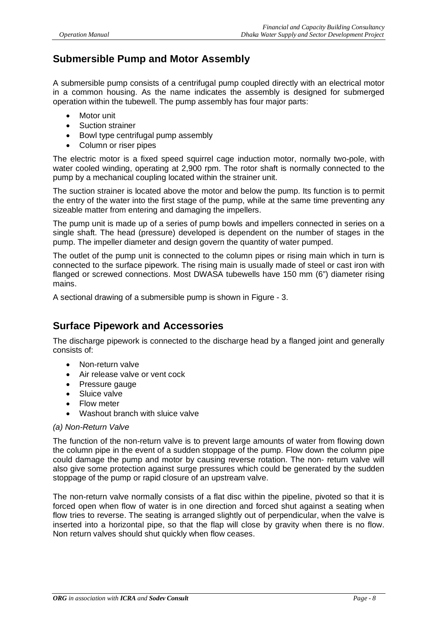## **Submersible Pump and Motor Assembly**

A submersible pump consists of a centrifugal pump coupled directly with an electrical motor in a common housing. As the name indicates the assembly is designed for submerged operation within the tubewell. The pump assembly has four major parts:

- Motor unit
- Suction strainer
- Bowl type centrifugal pump assembly
- Column or riser pipes

The electric motor is a fixed speed squirrel cage induction motor, normally two-pole, with water cooled winding, operating at 2,900 rpm. The rotor shaft is normally connected to the pump by a mechanical coupling located within the strainer unit.

The suction strainer is located above the motor and below the pump. Its function is to permit the entry of the water into the first stage of the pump, while at the same time preventing any sizeable matter from entering and damaging the impellers.

The pump unit is made up of a series of pump bowls and impellers connected in series on a single shaft. The head (pressure) developed is dependent on the number of stages in the pump. The impeller diameter and design govern the quantity of water pumped.

The outlet of the pump unit is connected to the column pipes or rising main which in turn is connected to the surface pipework. The rising main is usually made of steel or cast iron with flanged or screwed connections. Most DWASA tubewells have 150 mm (6") diameter rising mains.

A sectional drawing of a submersible pump is shown in Figure - 3.

### **Surface Pipework and Accessories**

The discharge pipework is connected to the discharge head by a flanged joint and generally consists of:

- Non-return valve
- Air release valve or vent cock
- Pressure gauge
- Sluice valve
- Flow meter
- Washout branch with sluice valve

#### *(a) Non-Return Valve*

The function of the non-return valve is to prevent large amounts of water from flowing down the column pipe in the event of a sudden stoppage of the pump. Flow down the column pipe could damage the pump and motor by causing reverse rotation. The non- return valve will also give some protection against surge pressures which could be generated by the sudden stoppage of the pump or rapid closure of an upstream valve.

The non-return valve normally consists of a flat disc within the pipeline, pivoted so that it is forced open when flow of water is in one direction and forced shut against a seating when flow tries to reverse. The seating is arranged slightly out of perpendicular, when the valve is inserted into a horizontal pipe, so that the flap will close by gravity when there is no flow. Non return valves should shut quickly when flow ceases.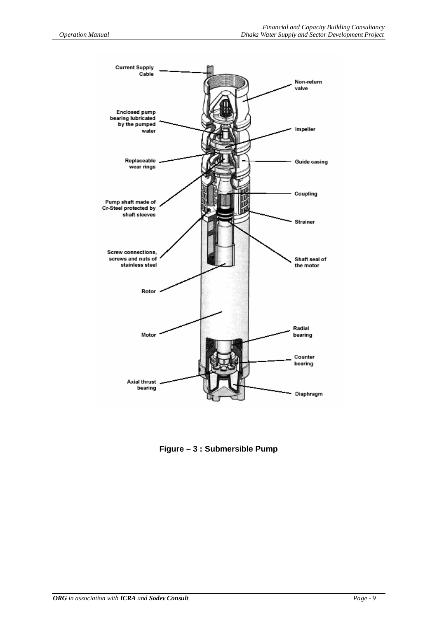

**Figure – 3 : Submersible Pump**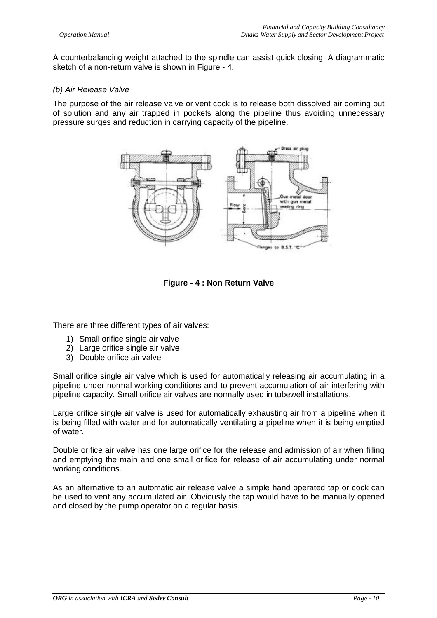A counterbalancing weight attached to the spindle can assist quick closing. A diagrammatic sketch of a non-return valve is shown in Figure - 4.

#### *(b) Air Release Valve*

The purpose of the air release valve or vent cock is to release both dissolved air coming out of solution and any air trapped in pockets along the pipeline thus avoiding unnecessary pressure surges and reduction in carrying capacity of the pipeline.



**Figure - 4 : Non Return Valve**

There are three different types of air valves:

- 1) Small orifice single air valve
- 2) Large orifice single air valve
- 3) Double orifice air valve

Small orifice single air valve which is used for automatically releasing air accumulating in a pipeline under normal working conditions and to prevent accumulation of air interfering with pipeline capacity. Small orifice air valves are normally used in tubewell installations.

Large orifice single air valve is used for automatically exhausting air from a pipeline when it is being filled with water and for automatically ventilating a pipeline when it is being emptied of water.

Double orifice air valve has one large orifice for the release and admission of air when filling and emptying the main and one small orifice for release of air accumulating under normal working conditions.

As an alternative to an automatic air release valve a simple hand operated tap or cock can be used to vent any accumulated air. Obviously the tap would have to be manually opened and closed by the pump operator on a regular basis.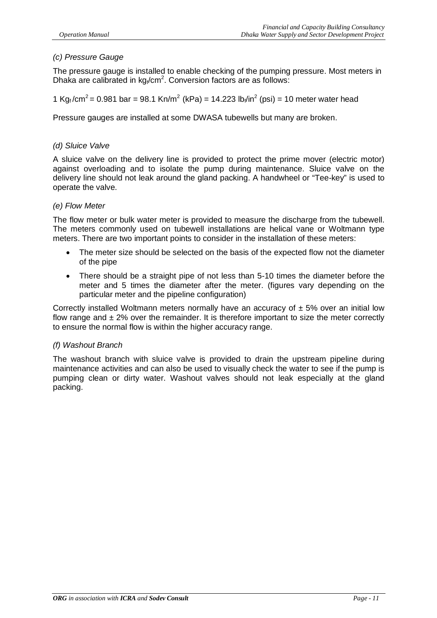#### *(c) Pressure Gauge*

The pressure gauge is installed to enable checking of the pumping pressure. Most meters in Dhaka are calibrated in  $kg_f/cm^2$ . Conversion factors are as follows:

1 Kg<sub>f</sub>/cm<sup>2</sup> = 0.981 bar = 98.1 Kn/m<sup>2</sup> (kPa) = 14.223 lb<sub>f</sub>/in<sup>2</sup> (psi) = 10 meter water head

Pressure gauges are installed at some DWASA tubewells but many are broken.

#### *(d) Sluice Valve*

A sluice valve on the delivery line is provided to protect the prime mover (electric motor) against overloading and to isolate the pump during maintenance. Sluice valve on the delivery line should not leak around the gland packing. A handwheel or "Tee-key" is used to operate the valve.

#### *(e) Flow Meter*

The flow meter or bulk water meter is provided to measure the discharge from the tubewell. The meters commonly used on tubewell installations are helical vane or Woltmann type meters. There are two important points to consider in the installation of these meters:

- The meter size should be selected on the basis of the expected flow not the diameter of the pipe
- There should be a straight pipe of not less than 5-10 times the diameter before the meter and 5 times the diameter after the meter. (figures vary depending on the particular meter and the pipeline configuration)

Correctly installed Woltmann meters normally have an accuracy of  $\pm$  5% over an initial low flow range and  $\pm$  2% over the remainder. It is therefore important to size the meter correctly to ensure the normal flow is within the higher accuracy range.

#### *(f) Washout Branch*

The washout branch with sluice valve is provided to drain the upstream pipeline during maintenance activities and can also be used to visually check the water to see if the pump is pumping clean or dirty water. Washout valves should not leak especially at the gland packing.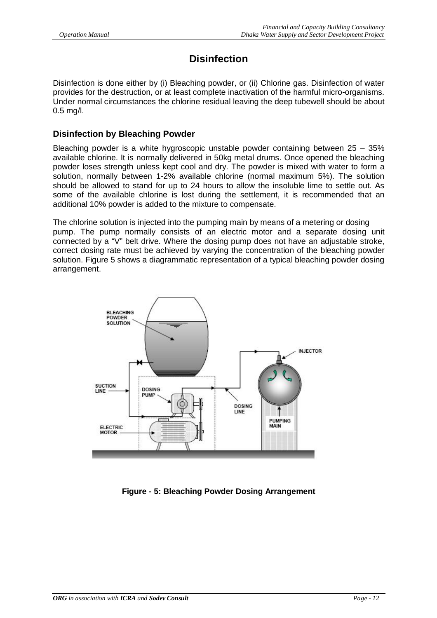## **Disinfection**

Disinfection is done either by (i) Bleaching powder, or (ii) Chlorine gas. Disinfection of water provides for the destruction, or at least complete inactivation of the harmful micro-organisms. Under normal circumstances the chlorine residual leaving the deep tubewell should be about 0.5 mg/l.

#### **Disinfection by Bleaching Powder**

Bleaching powder is a white hygroscopic unstable powder containing between 25 – 35% available chlorine. It is normally delivered in 50kg metal drums. Once opened the bleaching powder loses strength unless kept cool and dry. The powder is mixed with water to form a solution, normally between 1-2% available chlorine (normal maximum 5%). The solution should be allowed to stand for up to 24 hours to allow the insoluble lime to settle out. As some of the available chlorine is lost during the settlement, it is recommended that an additional 10% powder is added to the mixture to compensate.

The chlorine solution is injected into the pumping main by means of a metering or dosing pump. The pump normally consists of an electric motor and a separate dosing unit connected by a "V" belt drive. Where the dosing pump does not have an adjustable stroke, correct dosing rate must be achieved by varying the concentration of the bleaching powder solution. Figure 5 shows a diagrammatic representation of a typical bleaching powder dosing arrangement.



**Figure - 5: Bleaching Powder Dosing Arrangement**